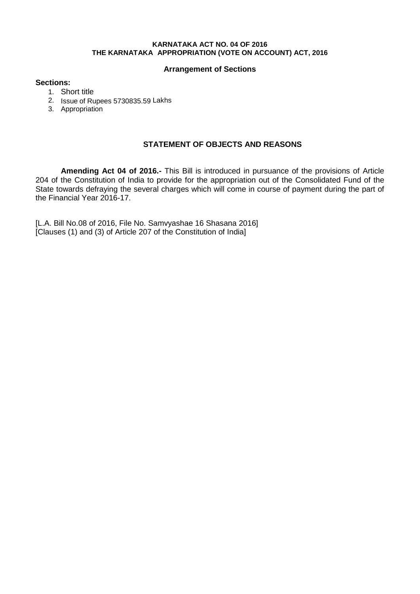#### **KARNATAKA ACT NO. 04 OF 2016 THE KARNATAKA APPROPRIATION (VOTE ON ACCOUNT) ACT, 2016**

### **Arrangement of Sections**

### **Sections:**

- 1. Short title
- 2. Issue of Rupees 5730835.59 Lakhs
- 3. Appropriation

## **STATEMENT OF OBJECTS AND REASONS**

**Amending Act 04 of 2016.-** This Bill is introduced in pursuance of the provisions of Article 204 of the Constitution of India to provide for the appropriation out of the Consolidated Fund of the State towards defraying the several charges which will come in course of payment during the part of the Financial Year 2016-17.

[L.A. Bill No.08 of 2016, File No. Samvyashae 16 Shasana 2016] [Clauses (1) and (3) of Article 207 of the Constitution of India]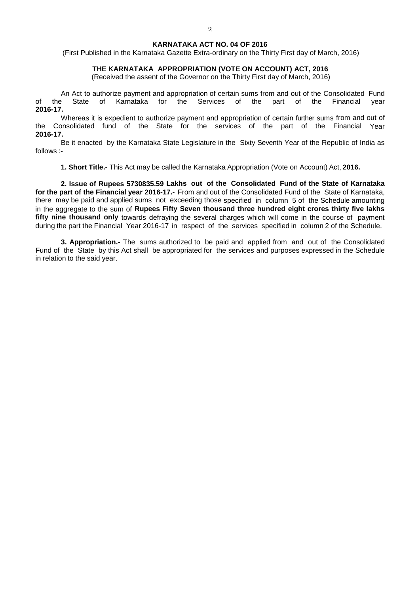#### **KARNATAKA ACT NO. 04 OF 2016**

(First Published in the Karnataka Gazette Extra-ordinary on the Thirty First day of March, 2016)

#### **THE KARNATAKA APPROPRIATION (VOTE ON ACCOUNT) ACT, 2016**

(Received the assent of the Governor on the Thirty First day of March, 2016)

An Act to authorize payment and appropriation of certain sums from and out of the Consolidated Fund of the State of Karnataka for the Services of the part of the Financial year **2016-17.**

Whereas it is expedient to authorize payment and appropriation of certain further sums from and out of the Consolidated fund of the State for the services of the part of the Financial Year **2016-17.**

Be it enacted by the Karnataka State Legislature in the Sixty Seventh Year of the Republic of India as follows :-

**1. Short Title.-** This Act may be called the Karnataka Appropriation (Vote on Account) Act, **2016.**

**2. Issue of Rupees 5730835.59 Lakhs out of the Consolidated Fund of the State of Karnataka for the part of the Financial year 2016-17.-** From and out of the Consolidated Fund of the State of Karnataka, there may be paid and applied sums not exceeding those specified in column 5 of the Schedule amounting in the aggregate to the sum of **Rupees Fifty Seven thousand three hundred eight crores thirty five lakhs fifty nine thousand only** towards defraying the several charges which will come in the course of payment during the part the Financial Year 2016-17 in respect of the services specified in column 2 of the Schedule.

**3. Appropriation.-** The sums authorized to be paid and applied from and out of the Consolidated Fund of the State by this Act shall be appropriated for the services and purposes expressed in the Schedule in relation to the said year.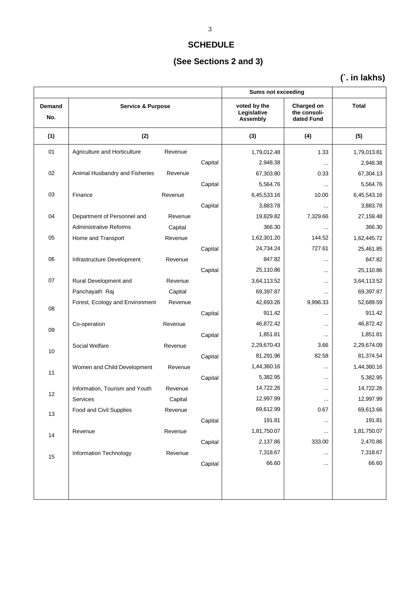# **SCHEDULE**

# **(See Sections 2 and 3)**

# **(`. in lakhs)**

|               |                                     |         |         | <b>Sums not exceeding</b>               |                                          |              |
|---------------|-------------------------------------|---------|---------|-----------------------------------------|------------------------------------------|--------------|
| Demand<br>No. | <b>Service &amp; Purpose</b><br>(2) |         |         | voted by the<br>Legislative<br>Assembly | Charged on<br>the consoli-<br>dated Fund | <b>Total</b> |
| (1)           |                                     |         |         | (3)                                     | (4)                                      | (5)          |
| 01            | Agriculture and Horticulture        | Revenue |         | 1,79,012.48                             | 1.33                                     | 1,79,013.81  |
|               |                                     |         | Capital | 2,948.38                                |                                          | 2,948.38     |
| 02            | Animal Husbandry and Fisheries      | Revenue |         | 67,303.80                               | 0.33                                     | 67,304.13    |
|               |                                     |         | Capital | 5,564.76                                |                                          | 5,564.76     |
| 03            | Finance                             | Revenue |         | 6,45,533.16                             | 10.00                                    | 6,45,543.16  |
|               |                                     |         | Capital | 3,883.78                                |                                          | 3,883.78     |
| 04            | Department of Personnel and         | Revenue |         | 19,829.82                               | 7,329.66                                 | 27,159.48    |
|               | <b>Administrative Reforms</b>       | Capital |         | 366.30                                  |                                          | 366.30       |
| 05            | Home and Transport                  | Revenue |         | 1,62,301.20                             | 144.52                                   | 1,62,445.72  |
|               |                                     |         | Capital | 24,734.24                               | 727.61                                   | 25,461.85    |
| 06            | Infrastructure Development          | Revenue |         | 847.82                                  |                                          | 847.82       |
|               |                                     |         | Capital | 25,110.86                               |                                          | 25,110.86    |
| 07            | Rural Development and               | Revenue |         | 3,64,113.52                             | $\cdots$                                 | 3,64,113.52  |
|               | Panchayath Raj                      | Capital |         | 69,397.87                               |                                          | 69,397.87    |
|               | Forest, Ecology and Environment     | Revenue |         | 42,693.26                               | 9,996.33                                 | 52,689.59    |
| 08            |                                     |         | Capital | 911.42                                  |                                          | 911.42       |
|               | Co-operation                        | Revenue |         | 46,872.42                               |                                          | 46,872.42    |
| 09            |                                     |         | Capital | 1,851.81                                |                                          | 1,851.81     |
| 10            | Social Welfare                      | Revenue |         | 2,29,670.43                             | 3.66                                     | 2,29,674.09  |
|               |                                     |         | Capital | 81,291.96                               | 82.58                                    | 81,374.54    |
| 11            | Women and Child Development         | Revenue |         | 1,44,360.16                             |                                          | 1,44,360.16  |
|               |                                     |         | Capital | 5,382.95                                |                                          | 5,382.95     |
| 12            | Information, Tourism and Youth      | Revenue |         | 14,722.26                               |                                          | 14,722.26    |
|               | Services                            | Capital |         | 12,997.99                               |                                          | 12,997.99    |
| 13            | Food and Civil Supplies             | Revenue |         | 69,612.99                               | 0.67                                     | 69,613.66    |
|               |                                     |         | Capital | 191.81                                  | $\cdots$                                 | 191.81       |
| 14            | Revenue                             | Revenue |         | 1,81,750.07                             |                                          | 1,81,750.07  |
|               |                                     |         | Capital | 2,137.86                                | 333.00                                   | 2,470.86     |
| 15            | Information Technology              | Revenue |         | 7,318.67                                |                                          | 7,318.67     |
|               |                                     |         | Capital | 66.60                                   |                                          | 66.60        |
|               |                                     |         |         |                                         |                                          |              |
|               |                                     |         |         |                                         |                                          |              |